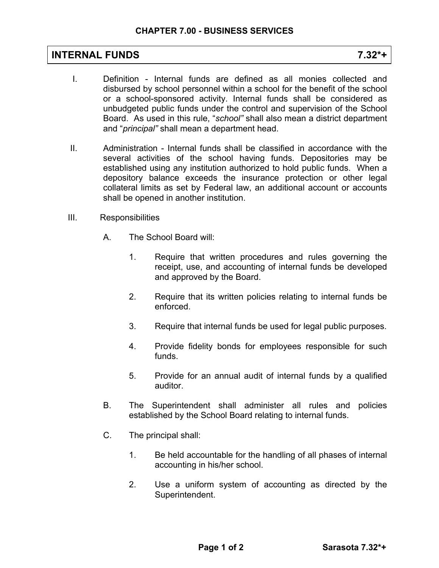## **INTERNAL FUNDS 7.32\*+**

- I. Definition Internal funds are defined as all monies collected and disbursed by school personnel within a school for the benefit of the school or a school-sponsored activity. Internal funds shall be considered as unbudgeted public funds under the control and supervision of the School Board. As used in this rule, "*school"* shall also mean a district department and "*principal"* shall mean a department head.
- II. Administration Internal funds shall be classified in accordance with the several activities of the school having funds. Depositories may be established using any institution authorized to hold public funds. When a depository balance exceeds the insurance protection or other legal collateral limits as set by Federal law, an additional account or accounts shall be opened in another institution.
- III. Responsibilities
	- A. The School Board will:
		- 1. Require that written procedures and rules governing the receipt, use, and accounting of internal funds be developed and approved by the Board.
		- 2. Require that its written policies relating to internal funds be enforced.
		- 3. Require that internal funds be used for legal public purposes.
		- 4. Provide fidelity bonds for employees responsible for such funds.
		- 5. Provide for an annual audit of internal funds by a qualified auditor.
	- B. The Superintendent shall administer all rules and policies established by the School Board relating to internal funds.
	- C. The principal shall:
		- 1. Be held accountable for the handling of all phases of internal accounting in his/her school.
		- 2. Use a uniform system of accounting as directed by the Superintendent.